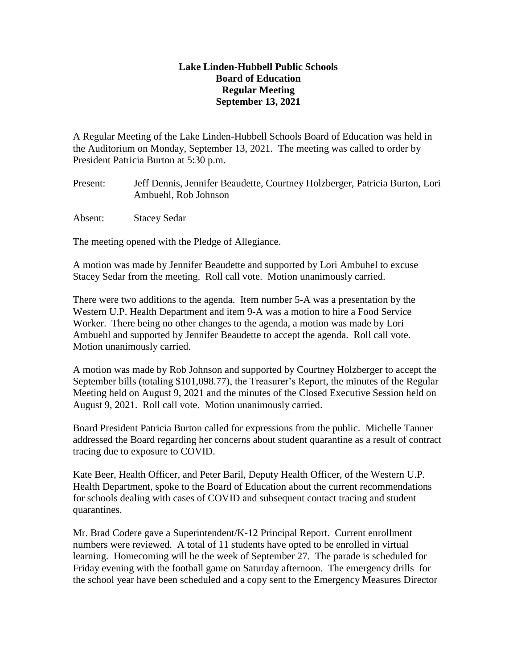## **Lake Linden-Hubbell Public Schools Board of Education Regular Meeting September 13, 2021**

A Regular Meeting of the Lake Linden-Hubbell Schools Board of Education was held in the Auditorium on Monday, September 13, 2021. The meeting was called to order by President Patricia Burton at 5:30 p.m.

- Present: Jeff Dennis, Jennifer Beaudette, Courtney Holzberger, Patricia Burton, Lori Ambuehl, Rob Johnson
- Absent: Stacey Sedar

The meeting opened with the Pledge of Allegiance.

A motion was made by Jennifer Beaudette and supported by Lori Ambuhel to excuse Stacey Sedar from the meeting. Roll call vote. Motion unanimously carried.

There were two additions to the agenda. Item number 5-A was a presentation by the Western U.P. Health Department and item 9-A was a motion to hire a Food Service Worker. There being no other changes to the agenda, a motion was made by Lori Ambuehl and supported by Jennifer Beaudette to accept the agenda. Roll call vote. Motion unanimously carried.

A motion was made by Rob Johnson and supported by Courtney Holzberger to accept the September bills (totaling \$101,098.77), the Treasurer's Report, the minutes of the Regular Meeting held on August 9, 2021 and the minutes of the Closed Executive Session held on August 9, 2021. Roll call vote. Motion unanimously carried.

Board President Patricia Burton called for expressions from the public. Michelle Tanner addressed the Board regarding her concerns about student quarantine as a result of contract tracing due to exposure to COVID.

Kate Beer, Health Officer, and Peter Baril, Deputy Health Officer, of the Western U.P. Health Department, spoke to the Board of Education about the current recommendations for schools dealing with cases of COVID and subsequent contact tracing and student quarantines.

Mr. Brad Codere gave a Superintendent/K-12 Principal Report. Current enrollment numbers were reviewed. A total of 11 students have opted to be enrolled in virtual learning. Homecoming will be the week of September 27. The parade is scheduled for Friday evening with the football game on Saturday afternoon. The emergency drills for the school year have been scheduled and a copy sent to the Emergency Measures Director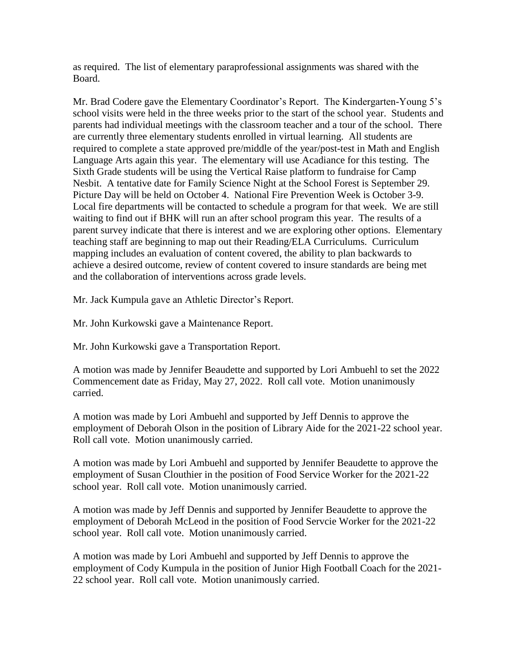as required. The list of elementary paraprofessional assignments was shared with the Board.

Mr. Brad Codere gave the Elementary Coordinator's Report. The Kindergarten-Young 5's school visits were held in the three weeks prior to the start of the school year. Students and parents had individual meetings with the classroom teacher and a tour of the school. There are currently three elementary students enrolled in virtual learning. All students are required to complete a state approved pre/middle of the year/post-test in Math and English Language Arts again this year. The elementary will use Acadiance for this testing. The Sixth Grade students will be using the Vertical Raise platform to fundraise for Camp Nesbit. A tentative date for Family Science Night at the School Forest is September 29. Picture Day will be held on October 4. National Fire Prevention Week is October 3-9. Local fire departments will be contacted to schedule a program for that week. We are still waiting to find out if BHK will run an after school program this year. The results of a parent survey indicate that there is interest and we are exploring other options. Elementary teaching staff are beginning to map out their Reading/ELA Curriculums. Curriculum mapping includes an evaluation of content covered, the ability to plan backwards to achieve a desired outcome, review of content covered to insure standards are being met and the collaboration of interventions across grade levels.

Mr. Jack Kumpula gave an Athletic Director's Report.

Mr. John Kurkowski gave a Maintenance Report.

Mr. John Kurkowski gave a Transportation Report.

A motion was made by Jennifer Beaudette and supported by Lori Ambuehl to set the 2022 Commencement date as Friday, May 27, 2022. Roll call vote. Motion unanimously carried.

A motion was made by Lori Ambuehl and supported by Jeff Dennis to approve the employment of Deborah Olson in the position of Library Aide for the 2021-22 school year. Roll call vote. Motion unanimously carried.

A motion was made by Lori Ambuehl and supported by Jennifer Beaudette to approve the employment of Susan Clouthier in the position of Food Service Worker for the 2021-22 school year. Roll call vote. Motion unanimously carried.

A motion was made by Jeff Dennis and supported by Jennifer Beaudette to approve the employment of Deborah McLeod in the position of Food Servcie Worker for the 2021-22 school year. Roll call vote. Motion unanimously carried.

A motion was made by Lori Ambuehl and supported by Jeff Dennis to approve the employment of Cody Kumpula in the position of Junior High Football Coach for the 2021- 22 school year. Roll call vote. Motion unanimously carried.